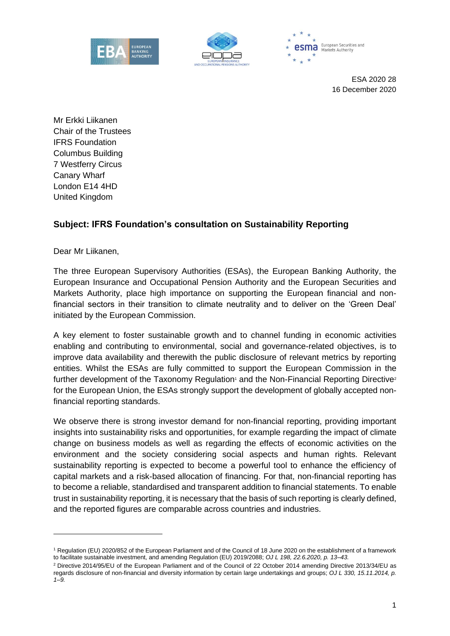





ESA 2020 28 16 December 2020

Mr Erkki Liikanen Chair of the Trustees IFRS Foundation Columbus Building 7 Westferry Circus Canary Wharf London E14 4HD United Kingdom

## **Subject: IFRS Foundation's consultation on Sustainability Reporting**

Dear Mr Liikanen,

The three European Supervisory Authorities (ESAs), the European Banking Authority, the European Insurance and Occupational Pension Authority and the European Securities and Markets Authority, place high importance on supporting the European financial and nonfinancial sectors in their transition to climate neutrality and to deliver on the 'Green Deal' initiated by the European Commission.

A key element to foster sustainable growth and to channel funding in economic activities enabling and contributing to environmental, social and governance-related objectives, is to improve data availability and therewith the public disclosure of relevant metrics by reporting entities. Whilst the ESAs are fully committed to support the European Commission in the further development of the Taxonomy Regulation<sup>1</sup> and the Non-Financial Reporting Directive<sup>2</sup> for the European Union, the ESAs strongly support the development of globally accepted nonfinancial reporting standards.

We observe there is strong investor demand for non-financial reporting, providing important insights into sustainability risks and opportunities, for example regarding the impact of climate change on business models as well as regarding the effects of economic activities on the environment and the society considering social aspects and human rights. Relevant sustainability reporting is expected to become a powerful tool to enhance the efficiency of capital markets and a risk-based allocation of financing. For that, non-financial reporting has to become a reliable, standardised and transparent addition to financial statements. To enable trust in sustainability reporting, it is necessary that the basis of such reporting is clearly defined, and the reported figures are comparable across countries and industries.

<sup>1</sup> Regulation (EU) 2020/852 of the European Parliament and of the Council of 18 June 2020 on the establishment of a framework to facilitate sustainable investment, and amending Regulation (EU) 2019/2088; *OJ L 198, 22.6.2020, p. 13–43.*

<sup>2</sup> Directive 2014/95/EU of the European Parliament and of the Council of 22 October 2014 amending Directive 2013/34/EU as regards disclosure of non-financial and diversity information by certain large undertakings and groups; *OJ L 330, 15.11.2014, p. 1–9.*